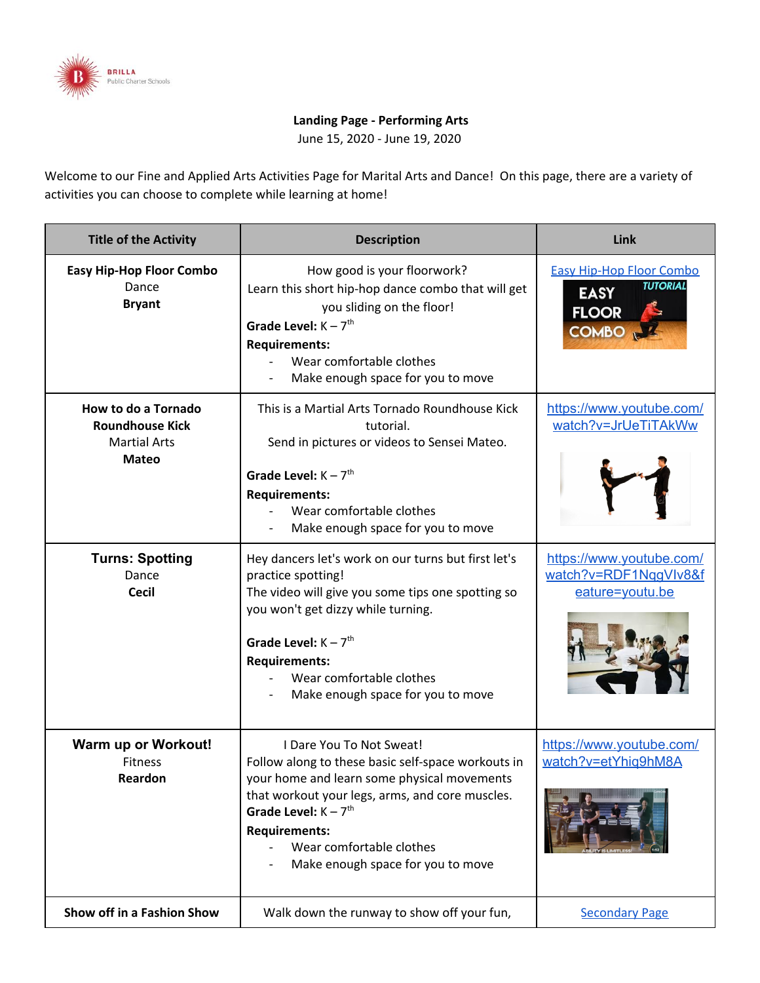

## **Landing Page - Performing Arts**

June 15, 2020 - June 19, 2020

Welcome to our Fine and Applied Arts Activities Page for Marital Arts and Dance! On this page, there are a variety of activities you can choose to complete while learning at home!

| <b>Title of the Activity</b>                                                         | <b>Description</b>                                                                                                                                                                                                                                                                                  | Link                                                                                              |
|--------------------------------------------------------------------------------------|-----------------------------------------------------------------------------------------------------------------------------------------------------------------------------------------------------------------------------------------------------------------------------------------------------|---------------------------------------------------------------------------------------------------|
| <b>Easy Hip-Hop Floor Combo</b><br>Dance<br><b>Bryant</b>                            | How good is your floorwork?<br>Learn this short hip-hop dance combo that will get<br>you sliding on the floor!<br>Grade Level: $K - 7$ <sup>th</sup><br><b>Requirements:</b><br>Wear comfortable clothes<br>Make enough space for you to move                                                       | <b>Easy Hip-Hop Floor Combo</b><br><b>TUTORIAL</b><br><b>EASY</b><br><b>FLOOR</b><br><b>COMBO</b> |
| How to do a Tornado<br><b>Roundhouse Kick</b><br><b>Martial Arts</b><br><b>Mateo</b> | This is a Martial Arts Tornado Roundhouse Kick<br>tutorial.<br>Send in pictures or videos to Sensei Mateo.<br>Grade Level: $K - 7$ <sup>th</sup><br><b>Requirements:</b><br>Wear comfortable clothes<br>Make enough space for you to move                                                           | https://www.youtube.com/<br>watch?v=JrUeTiTAkWw                                                   |
| <b>Turns: Spotting</b><br>Dance<br><b>Cecil</b>                                      | Hey dancers let's work on our turns but first let's<br>practice spotting!<br>The video will give you some tips one spotting so<br>you won't get dizzy while turning.<br>Grade Level: $K - 7$ <sup>th</sup><br><b>Requirements:</b><br>Wear comfortable clothes<br>Make enough space for you to move | https://www.youtube.com/<br>watch?v=RDF1NggVIv8&f<br>eature=youtu.be                              |
| <b>Warm up or Workout!</b><br><b>Fitness</b><br>Reardon                              | I Dare You To Not Sweat!<br>Follow along to these basic self-space workouts in<br>your home and learn some physical movements<br>that workout your legs, arms, and core muscles.<br>Grade Level: $K - 7th$<br><b>Requirements:</b><br>Wear comfortable clothes<br>Make enough space for you to move | https://www.youtube.com/<br>watch?v=etYhiq9hM8A                                                   |
| Show off in a Fashion Show                                                           | Walk down the runway to show off your fun,                                                                                                                                                                                                                                                          | <b>Secondary Page</b>                                                                             |